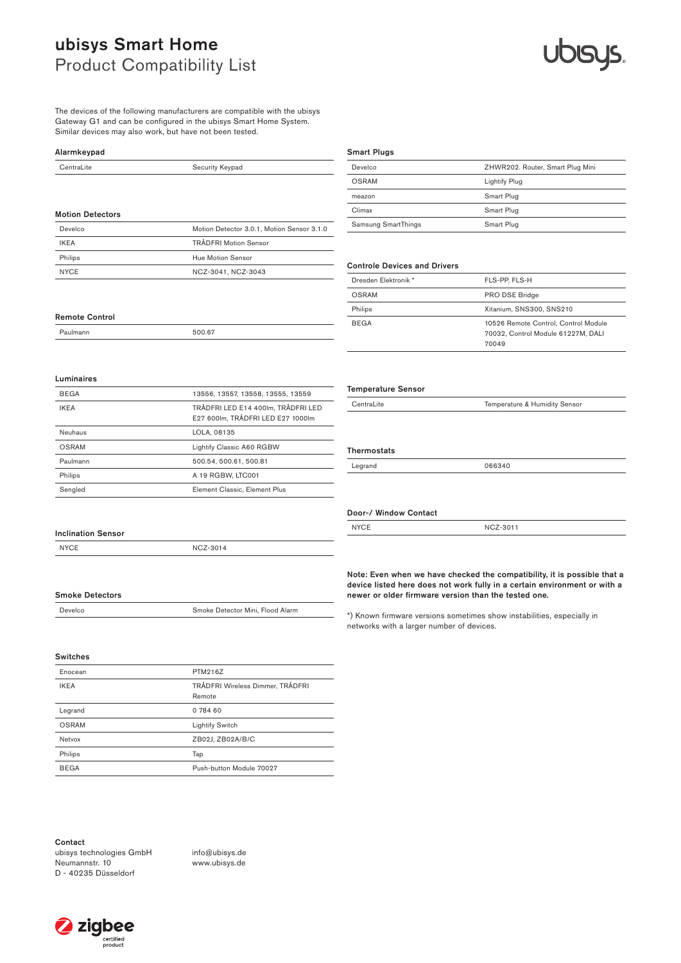The devices of the following manufacturers are compatible with the ubisys Gateway G1 and can be configured in the ubisys Smart Home System. Similar devices may also work, but have not been tested.

#### Alarmkeypad

| CentraLite              | Security Keypad                            |
|-------------------------|--------------------------------------------|
|                         |                                            |
|                         |                                            |
| <b>Motion Detectors</b> |                                            |
| Develco                 | Motion Detector 3.0.1, Motion Sensor 3.1.0 |
| <b>IKEA</b>             | <b>TRÅDFRI Motion Sensor</b>               |
| Philips                 | Hue Motion Sensor                          |
| <b>NYCE</b>             | NCZ-3041, NCZ-3043                         |

### Smart Plugs

| Develco             | ZHWR202. Router, Smart Plug Mini |
|---------------------|----------------------------------|
| OSRAM               | Lightify Plug                    |
| meazon              | Smart Plug                       |
| Climax              | Smart Plug                       |
| Samsung SmartThings | Smart Plug                       |

#### Controle Devices and Drivers

Temperature Sensor

Door-/ Window Contact

**Thermostats** 

| Dresden Elektronik * | FLS-PP, FLS-H                                                                       |
|----------------------|-------------------------------------------------------------------------------------|
| OSRAM                | PRO DSE Bridge                                                                      |
| Philips              | Xitanium, SNS300, SNS210                                                            |
| <b>BEGA</b>          | 10526 Remote Control, Control Module<br>70032, Control Module 61227M, DALI<br>70049 |

CentraLite Temperature & Humidity Sensor

Legrand 066340

NYCE NCZ-3011

#### Luminaires

Remote Control

Paulmann 500.67

| <b>BEGA</b> | 13556, 13557, 13558, 13555, 13559                                       |
|-------------|-------------------------------------------------------------------------|
| <b>IKEA</b> | TRÅDFRI LED E14 400Im. TRÅDFRI LED<br>E27 600lm, TRÅDFRI LED E27 1000lm |
| Neuhaus     | LOLA, 08135                                                             |
| OSRAM       | Lightify Classic A60 RGBW                                               |
| Paulmann    | 500.54, 500.61, 500.81                                                  |
| Philips     | A 19 RGBW, LTC001                                                       |
| Sengled     | Element Classic, Element Plus                                           |

#### Inclination Sensor

Smoke Detectors

NYCE NCZ-3014

#### Note: Even when we have checked the compatibility, it is possible that a device listed here does not work fully in a certain environment or with a newer or older firmware version than the tested one.

\*) Known firmware versions sometimes show instabilities, especially in networks with a larger number of devices.

## Switches

| Enocean      | PTM216Z                                    |
|--------------|--------------------------------------------|
| <b>IKEA</b>  | TRÅDFRI Wireless Dimmer, TRÅDFRI<br>Remote |
| Legrand      | 0 784 60                                   |
| <b>OSRAM</b> | <b>Lightify Switch</b>                     |
| Netvox       | ZB02J, ZB02A/B/C                           |
| Philips      | Tap                                        |
| <b>BEGA</b>  | Push-button Module 70027                   |
|              |                                            |

Develco Smoke Detector Mini, Flood Alarm

Contact

ubisys technologies GmbH Neumannstr. 10 D - 40235 Düsseldorf

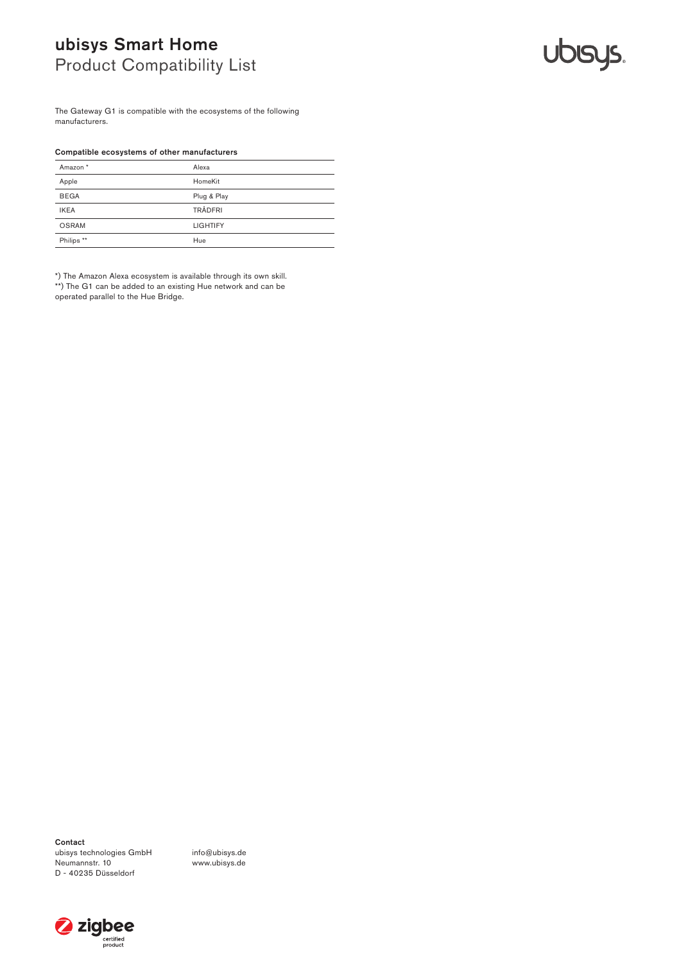# **UDISYS.**

The Gateway G1 is compatible with the ecosystems of the following manufacturers.

#### Compatible ecosystems of other manufacturers

| Amazon *              | Alexa           |
|-----------------------|-----------------|
| Apple                 | HomeKit         |
| <b>BEGA</b>           | Plug & Play     |
| <b>IKEA</b>           | <b>TRÅDFRI</b>  |
| <b>OSRAM</b>          | <b>LIGHTIFY</b> |
| Philips <sup>**</sup> | Hue             |

\*) The Amazon Alexa ecosystem is available through its own skill. \*\*) The G1 can be added to an existing Hue network and can be operated parallel to the Hue Bridge.

Contact ubisys technologies GmbH Neumannstr. 10 D - 40235 Düsseldorf

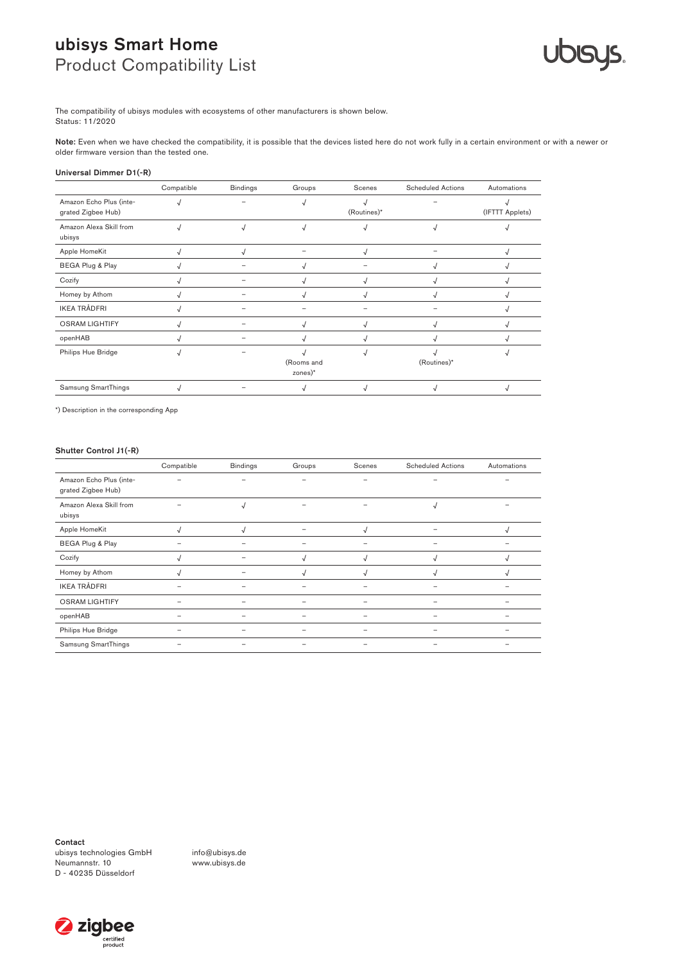

The compatibility of ubisys modules with ecosystems of other manufacturers is shown below. Status: 11/2020

Note: Even when we have checked the compatibility, it is possible that the devices listed here do not work fully in a certain environment or with a newer or older firmware version than the tested one.

#### Universal Dimmer D1(-R)

|                                               | Compatible | <b>Bindings</b> | Groups                  | Scenes      | <b>Scheduled Actions</b> | Automations     |
|-----------------------------------------------|------------|-----------------|-------------------------|-------------|--------------------------|-----------------|
| Amazon Echo Plus (inte-<br>grated Zigbee Hub) |            |                 |                         | (Routines)* |                          | (IFTTT Applets) |
| Amazon Alexa Skill from<br>ubisys             |            | $\sqrt{ }$      | √                       |             |                          |                 |
| Apple HomeKit                                 |            | √               |                         | N           |                          |                 |
| BEGA Plug & Play                              |            |                 |                         |             |                          |                 |
| Cozify                                        |            |                 | √                       |             |                          |                 |
| Homey by Athom                                |            |                 |                         |             |                          |                 |
| <b>IKEA TRÅDFRI</b>                           |            |                 |                         |             |                          |                 |
| <b>OSRAM LIGHTIFY</b>                         |            |                 |                         |             |                          |                 |
| openHAB                                       |            |                 |                         |             |                          |                 |
| Philips Hue Bridge                            |            |                 | (Rooms and<br>$zones)*$ |             | (Routines)*              |                 |
| Samsung SmartThings                           |            |                 |                         |             |                          |                 |

\*) Description in the corresponding App

#### Shutter Control J1(-R)

|                                               | Compatible               | <b>Bindings</b> | Groups | Scenes     | <b>Scheduled Actions</b> | Automations |
|-----------------------------------------------|--------------------------|-----------------|--------|------------|--------------------------|-------------|
| Amazon Echo Plus (inte-<br>grated Zigbee Hub) |                          |                 |        | ۰          |                          |             |
| Amazon Alexa Skill from<br>ubisys             |                          | N               |        |            | $\sqrt{ }$               |             |
| Apple HomeKit                                 |                          |                 |        |            |                          |             |
| BEGA Plug & Play                              |                          |                 |        | ۰          |                          |             |
| Cozify                                        |                          |                 | √      | $\sqrt{ }$ | √                        | √           |
| Homey by Athom                                |                          |                 | N      | ۰v         |                          |             |
| <b>IKEA TRÅDFRI</b>                           |                          |                 |        |            |                          |             |
| <b>OSRAM LIGHTIFY</b>                         |                          | -               |        |            |                          |             |
| openHAB                                       | $\overline{\phantom{0}}$ | -               |        | ۰          |                          |             |
| Philips Hue Bridge                            | $\overline{\phantom{a}}$ | -               |        | -          |                          |             |
| <b>Samsung SmartThings</b>                    |                          |                 |        |            |                          |             |

Contact

ubisys technologies GmbH Neumannstr. 10 D - 40235 Düsseldorf

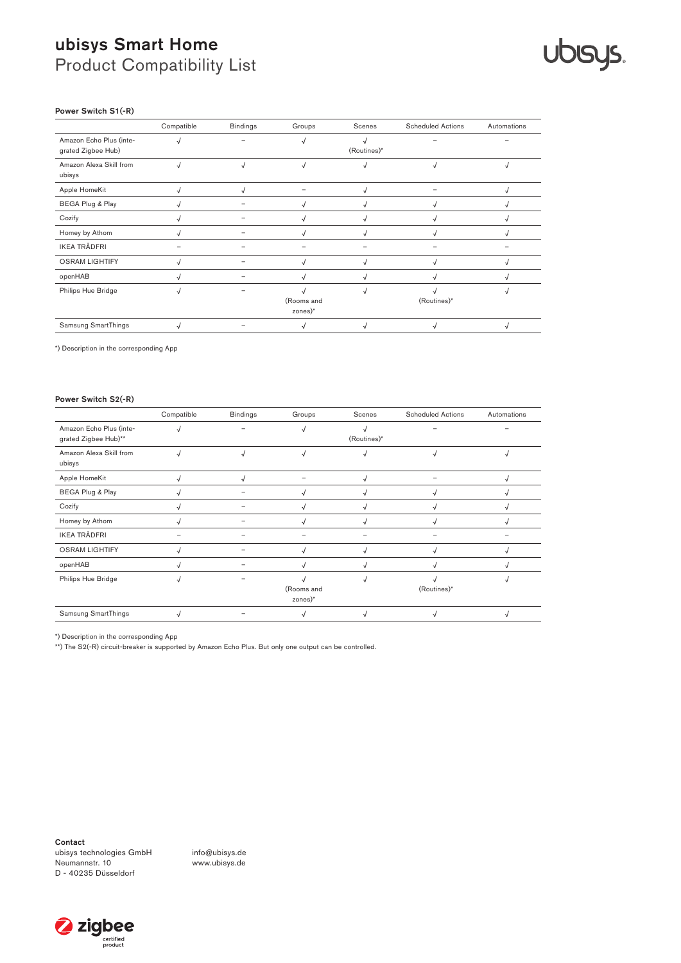# **Ublsys.**

#### Power Switch S1(-R)

|                                               | Compatible | <b>Bindings</b> | Groups                | Scenes      | <b>Scheduled Actions</b> | Automations |
|-----------------------------------------------|------------|-----------------|-----------------------|-------------|--------------------------|-------------|
| Amazon Echo Plus (inte-<br>grated Zigbee Hub) |            |                 |                       | (Routines)* |                          |             |
| Amazon Alexa Skill from<br>ubisys             |            |                 |                       |             |                          |             |
| Apple HomeKit                                 |            |                 |                       |             |                          |             |
| BEGA Plug & Play                              |            |                 | N                     |             | N                        |             |
| Cozify                                        |            |                 |                       |             |                          |             |
| Homey by Athom                                |            |                 |                       |             |                          |             |
| <b>IKEA TRÅDFRI</b>                           |            |                 |                       |             |                          |             |
| <b>OSRAM LIGHTIFY</b>                         |            |                 | $\sqrt{ }$            |             | $\sqrt{ }$               |             |
| openHAB                                       |            |                 |                       |             |                          |             |
| Philips Hue Bridge                            |            |                 | (Rooms and<br>zones)* |             | (Routines)*              |             |
| Samsung SmartThings                           |            |                 |                       |             |                          |             |

\*) Description in the corresponding App

#### Power Switch S2(-R)

|                                                 | Compatible | <b>Bindings</b> | Groups                             | Scenes      | <b>Scheduled Actions</b> | Automations |
|-------------------------------------------------|------------|-----------------|------------------------------------|-------------|--------------------------|-------------|
| Amazon Echo Plus (inte-<br>grated Zigbee Hub)** |            |                 |                                    | (Routines)* |                          |             |
| Amazon Alexa Skill from<br>ubisys               |            | J               | √                                  |             |                          |             |
| Apple HomeKit                                   |            |                 |                                    |             |                          |             |
| BEGA Plug & Play                                |            |                 |                                    |             |                          |             |
| Cozify                                          |            |                 |                                    |             |                          |             |
| Homey by Athom                                  |            |                 |                                    |             |                          |             |
| <b>IKEA TRÅDFRI</b>                             |            |                 |                                    |             |                          |             |
| <b>OSRAM LIGHTIFY</b>                           |            |                 |                                    |             |                          |             |
| openHAB                                         |            |                 |                                    |             |                          |             |
| Philips Hue Bridge                              |            |                 | (Rooms and<br>$zones$ <sup>*</sup> |             | (Routines)*              |             |
| Samsung SmartThings                             |            |                 |                                    |             |                          |             |

\*) Description in the corresponding App

\*\*) The S2(-R) circuit-breaker is supported by Amazon Echo Plus. But only one output can be controlled.

Contact ubisys technologies GmbH Neumannstr. 10 D - 40235 Düsseldorf

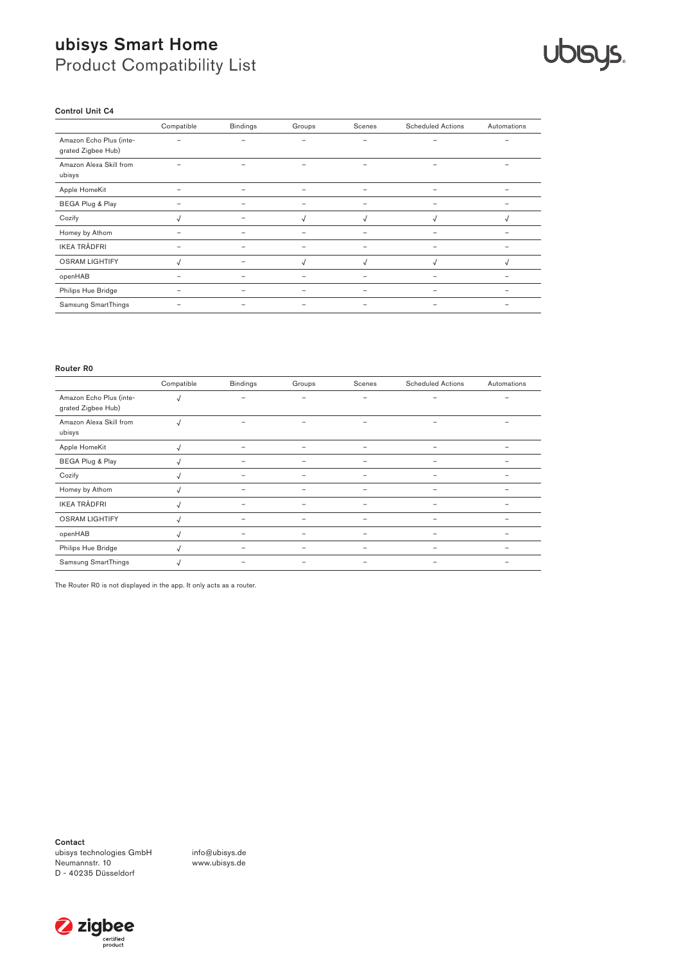# **Ublays.**

#### Control Unit C4

|                                               | Compatible               | <b>Bindings</b>          | Groups          | Scenes                   | <b>Scheduled Actions</b> | Automations |
|-----------------------------------------------|--------------------------|--------------------------|-----------------|--------------------------|--------------------------|-------------|
| Amazon Echo Plus (inte-<br>grated Zigbee Hub) |                          |                          | $\qquad \qquad$ | $\overline{\phantom{0}}$ |                          |             |
| Amazon Alexa Skill from<br>ubisys             |                          |                          |                 | -                        |                          |             |
| Apple HomeKit                                 | $\overline{\phantom{0}}$ | $\overline{\phantom{a}}$ |                 | ۰                        |                          |             |
| BEGA Plug & Play                              | -                        | $\overline{\phantom{0}}$ |                 | $\overline{\phantom{0}}$ |                          |             |
| Cozify                                        | √                        |                          | $\sqrt{ }$      | $\sqrt{ }$               | √                        | √           |
| Homey by Athom                                |                          |                          |                 |                          |                          |             |
| <b>IKEA TRÅDFRI</b>                           |                          |                          |                 |                          |                          |             |
| <b>OSRAM LIGHTIFY</b>                         |                          |                          | √               | $\sqrt{ }$               | J                        | √           |
| openHAB                                       |                          |                          |                 |                          |                          |             |
| Philips Hue Bridge                            | $\overline{\phantom{0}}$ |                          |                 | -                        |                          |             |
| Samsung SmartThings                           |                          |                          |                 |                          |                          |             |

#### Router R0

|                                               | Compatible | <b>Bindings</b> | Groups | Scenes | <b>Scheduled Actions</b> | Automations |
|-----------------------------------------------|------------|-----------------|--------|--------|--------------------------|-------------|
| Amazon Echo Plus (inte-<br>grated Zigbee Hub) |            |                 |        |        |                          |             |
| Amazon Alexa Skill from<br>ubisys             |            |                 |        |        |                          |             |
| Apple HomeKit                                 |            |                 |        |        |                          |             |
| BEGA Plug & Play                              |            |                 |        |        |                          |             |
| Cozify                                        |            | -               |        | -      |                          |             |
| Homey by Athom                                | √          |                 |        |        |                          |             |
| <b>IKEA TRÅDFRI</b>                           |            |                 |        |        |                          |             |
| <b>OSRAM LIGHTIFY</b>                         |            |                 |        |        |                          |             |
| openHAB                                       |            |                 |        |        |                          |             |
| Philips Hue Bridge                            |            |                 |        | ۰      |                          |             |
| Samsung SmartThings                           |            |                 |        |        |                          |             |

The Router R0 is not displayed in the app. It only acts as a router.

Contact

ubisys technologies GmbH Neumannstr. 10 D - 40235 Düsseldorf

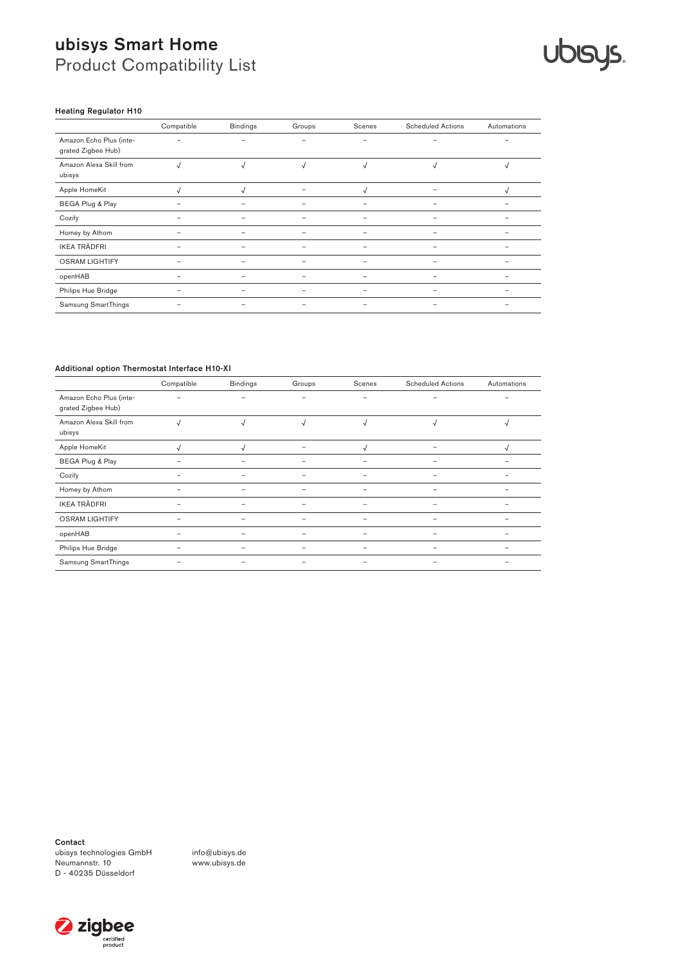## **Ublays.**

#### Heating Regulator H10

|                                               | Compatible | <b>Bindings</b>          | Groups                   | Scenes                   | <b>Scheduled Actions</b> | Automations |
|-----------------------------------------------|------------|--------------------------|--------------------------|--------------------------|--------------------------|-------------|
| Amazon Echo Plus (inte-<br>grated Zigbee Hub) |            |                          | $\overline{\phantom{0}}$ | $\overline{\phantom{a}}$ |                          |             |
| Amazon Alexa Skill from<br>ubisys             | J          | $\sqrt{ }$               | $\sqrt{ }$               | $\sqrt{ }$               | $\sqrt{ }$               |             |
| Apple HomeKit                                 |            |                          |                          | N                        |                          |             |
| BEGA Plug & Play                              |            |                          |                          | ۰                        |                          |             |
| Cozify                                        |            |                          |                          |                          |                          |             |
| Homey by Athom                                |            |                          |                          |                          |                          |             |
| <b>IKEA TRÅDFRI</b>                           |            |                          |                          |                          |                          |             |
| <b>OSRAM LIGHTIFY</b>                         | -          | $\overline{\phantom{0}}$ |                          | $\overline{\phantom{a}}$ |                          |             |
| openHAB                                       |            |                          |                          |                          |                          |             |
| Philips Hue Bridge                            | -          |                          |                          |                          |                          |             |
| Samsung SmartThings                           |            |                          |                          |                          |                          |             |

#### Additional option Thermostat Interface H10-XI

|                                               | Compatible | <b>Bindings</b> | Groups                   | Scenes                   | <b>Scheduled Actions</b> | Automations |
|-----------------------------------------------|------------|-----------------|--------------------------|--------------------------|--------------------------|-------------|
| Amazon Echo Plus (inte-<br>grated Zigbee Hub) |            | -               | $\overline{\phantom{0}}$ | -                        |                          |             |
| Amazon Alexa Skill from<br>ubisys             | √          | $\sqrt{ }$      | $\sqrt{ }$               | $\sqrt{ }$               | $\sqrt{ }$               | v           |
| Apple HomeKit                                 |            |                 |                          |                          |                          |             |
| BEGA Plug & Play                              | -          |                 |                          | $\overline{\phantom{0}}$ |                          |             |
| Cozify                                        |            |                 |                          |                          |                          |             |
| Homey by Athom                                |            |                 |                          |                          |                          |             |
| <b>IKEA TRÅDFRI</b>                           |            |                 |                          |                          |                          |             |
| <b>OSRAM LIGHTIFY</b>                         | ۰          | -               |                          | $\overline{\phantom{0}}$ |                          |             |
| openHAB                                       |            |                 |                          |                          |                          |             |
| Philips Hue Bridge                            | -          |                 |                          | $\overline{\phantom{0}}$ |                          |             |
| Samsung SmartThings                           |            |                 |                          |                          |                          |             |

Contact

ubisys technologies GmbH Neumannstr. 10 D - 40235 Düsseldorf

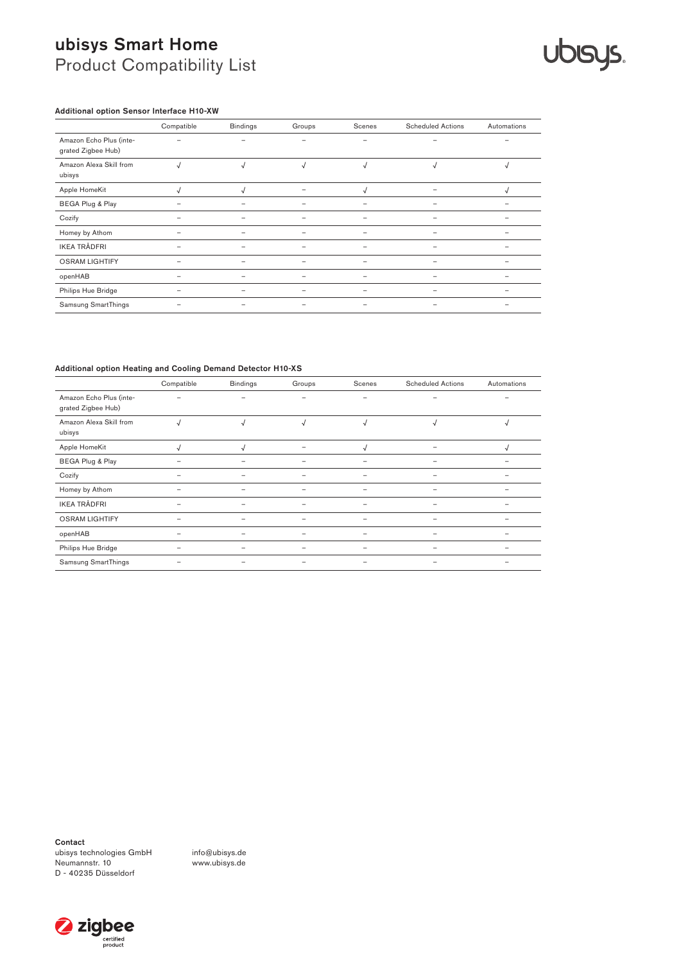## **Ublays.**

### Additional option Sensor Interface H10-XW

|                                               | Compatible | <b>Bindings</b> | Groups     | Scenes     | <b>Scheduled Actions</b> | Automations |
|-----------------------------------------------|------------|-----------------|------------|------------|--------------------------|-------------|
| Amazon Echo Plus (inte-<br>grated Zigbee Hub) |            |                 | -          | -          | -                        |             |
| Amazon Alexa Skill from<br>ubisys             |            |                 | $\sqrt{ }$ | $\sqrt{2}$ | √                        | N           |
| Apple HomeKit                                 |            |                 |            | √          |                          | V           |
| BEGA Plug & Play                              |            |                 |            |            |                          |             |
| Cozify                                        |            |                 |            |            |                          |             |
| Homey by Athom                                | -          |                 |            |            |                          |             |
| <b>IKEA TRÅDFRI</b>                           | -          | -               |            |            | $\overline{\phantom{0}}$ |             |
| <b>OSRAM LIGHTIFY</b>                         | -          | -               |            |            |                          |             |
| openHAB                                       |            |                 |            |            |                          |             |
| Philips Hue Bridge                            |            |                 |            |            |                          |             |
| Samsung SmartThings                           |            |                 | -          |            | -                        |             |

#### Additional option Heating and Cooling Demand Detector H10-XS

|                                               | Compatible | <b>Bindings</b> | Groups                   | Scenes                   | <b>Scheduled Actions</b> | Automations |
|-----------------------------------------------|------------|-----------------|--------------------------|--------------------------|--------------------------|-------------|
| Amazon Echo Plus (inte-<br>grated Zigbee Hub) | -          |                 | $\overline{\phantom{0}}$ | $\overline{\phantom{0}}$ |                          |             |
| Amazon Alexa Skill from<br>ubisys             | √          | $\sqrt{ }$      | $\sqrt{ }$               | $\sqrt{ }$               | $\sqrt{ }$               | √           |
| Apple HomeKit                                 |            |                 |                          |                          |                          |             |
| BEGA Plug & Play                              | -          |                 |                          | $\overline{\phantom{0}}$ |                          |             |
| Cozify                                        | -          |                 |                          | -                        |                          |             |
| Homey by Athom                                |            |                 |                          |                          |                          |             |
| <b>IKEA TRÅDFRI</b>                           | -          |                 |                          |                          |                          |             |
| <b>OSRAM LIGHTIFY</b>                         |            |                 |                          |                          |                          |             |
| openHAB                                       |            |                 |                          | -                        |                          |             |
| Philips Hue Bridge                            |            |                 |                          |                          |                          |             |
| Samsung SmartThings                           |            |                 |                          | -                        |                          |             |

Contact

ubisys technologies GmbH Neumannstr. 10 D - 40235 Düsseldorf